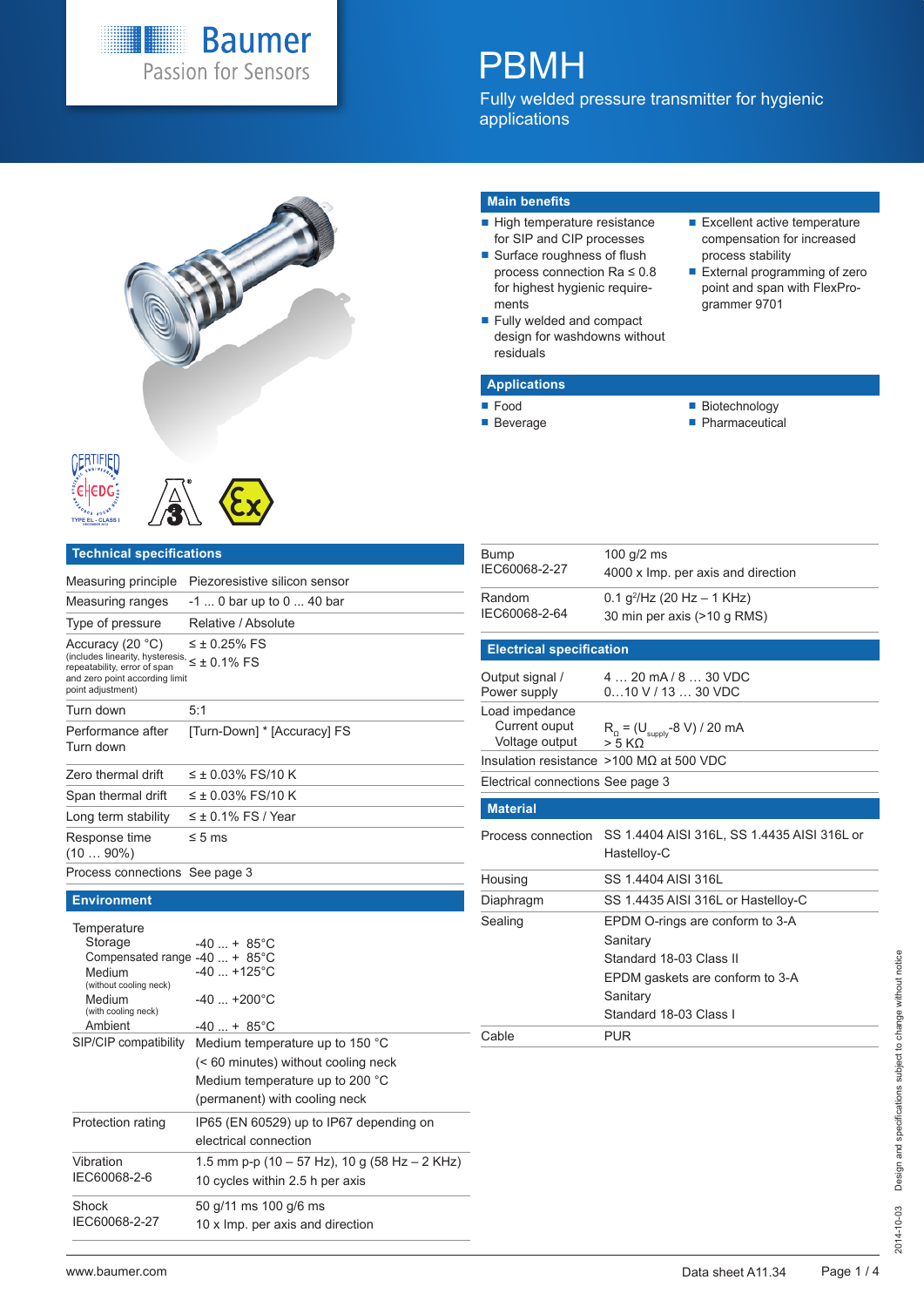

# PBMH

Fully welded pressure transmitter for hygienic applications







#### **Technical specifications**

| Measuring principle                                                                                                                                                          | Piezoresistive silicon sensor                                                                        |
|------------------------------------------------------------------------------------------------------------------------------------------------------------------------------|------------------------------------------------------------------------------------------------------|
| Measuring ranges                                                                                                                                                             | -1  0 bar up to 0  40 bar                                                                            |
| Type of pressure                                                                                                                                                             | Relative / Absolute                                                                                  |
| Accuracy (20 °C)<br>(includes linearity, hysteresis, $\leq \pm 0.1\%$ FS<br>repeatability, error of span<br>and zero point according limit<br>point adjustment)              | $\leq$ ± 0.25% FS                                                                                    |
| Turn down                                                                                                                                                                    | 5:1                                                                                                  |
| Performance after<br>Turn down                                                                                                                                               | [Turn-Down] * [Accuracy] FS                                                                          |
| Zero thermal drift                                                                                                                                                           | $\leq$ ± 0.03% FS/10 K                                                                               |
| Span thermal drift                                                                                                                                                           | $\leq \pm 0.03\%$ FS/10 K                                                                            |
| Long term stability                                                                                                                                                          | $\leq \pm 0.1\%$ FS / Year                                                                           |
| Response time<br>$(1090\%)$                                                                                                                                                  | $\leq 5$ ms                                                                                          |
| Process connections See page 3                                                                                                                                               |                                                                                                      |
| <b>Environment</b>                                                                                                                                                           |                                                                                                      |
| Temperature<br>Storage<br>Compensated range $-40$ + 85 $^{\circ}$ C<br>Medium<br>(without cooling neck)<br>Medium<br>(with cooling neck)<br>Ambient<br>SIP/CIP compatibility | $-40$ $+ 85^{\circ}$ C<br>$-40$ $+125^{\circ}$ C<br>$-40$ $+200^{\circ}$ C<br>$-40$ $+ 85^{\circ}$ C |
|                                                                                                                                                                              | Medium temperature up to 150 °C                                                                      |

(< 60 minutes) without cooling neck Medium temperature up to 200 °C (permanent) with cooling neck

1.5 mm p-p (10 – 57 Hz), 10 g (58 Hz – 2 KHz)

Protection rating IP65 (EN 60529) up to IP67 depending on electrical connection

> 50 g/11 ms 100 g/6 ms 10 x Imp. per axis and direction

10 cycles within 2.5 h per axis

#### **Main benefits**

- $\blacksquare$  High temperature resistance for SIP and CIP processes
- Surface roughness of flush process connection Ra ≤ 0.8 for highest hygienic requirements
- Fully welded and compact design for washdowns without residuals

#### process stability External programming of zero point and span with FlexProgrammer 9701

Excellent active temperature compensation for increased

### **Applications**

- Food
- **Beverage**
- **Biotechnology**
- **Pharmaceutical**
- 

| <b>Bump</b><br>IEC60068-2-27                      | 100 $g/2$ ms<br>4000 x Imp. per axis and direction                    |  |  |  |  |  |  |  |
|---------------------------------------------------|-----------------------------------------------------------------------|--|--|--|--|--|--|--|
| Random<br>IEC60068-2-64                           | 0.1 $q^2$ /Hz (20 Hz – 1 KHz)<br>30 min per axis (>10 g RMS)          |  |  |  |  |  |  |  |
| <b>Electrical specification</b>                   |                                                                       |  |  |  |  |  |  |  |
| Output signal /<br>Power supply                   | 4  20 mA / 8  30 VDC<br>$010$ V / 13 $$ 30 VDC                        |  |  |  |  |  |  |  |
| Load impedance<br>Current ouput<br>Voltage output | $R_0 = (U_{\text{supply}} - 8 \text{ V}) / 20 \text{ mA}$<br>$> 5$ KQ |  |  |  |  |  |  |  |
|                                                   | Insulation resistance $>100$ MQ at 500 VDC                            |  |  |  |  |  |  |  |
| Electrical connections See page 3                 |                                                                       |  |  |  |  |  |  |  |
| <b>Material</b>                                   |                                                                       |  |  |  |  |  |  |  |
| Process connection                                | SS 1.4404 AISI 316L, SS 1.4435 AISI 316L or<br>Hastelloy-C            |  |  |  |  |  |  |  |
| Housing                                           | SS 1 4404 AISI 316L                                                   |  |  |  |  |  |  |  |
| Diaphragm                                         |                                                                       |  |  |  |  |  |  |  |
|                                                   | SS 1.4435 AISI 316L or Hastelloy-C                                    |  |  |  |  |  |  |  |
| Sealing                                           | EPDM O-rings are conform to 3-A<br>Sanitary                           |  |  |  |  |  |  |  |
|                                                   | Standard 18-03 Class II                                               |  |  |  |  |  |  |  |
|                                                   | EPDM gaskets are conform to 3-A                                       |  |  |  |  |  |  |  |
|                                                   | Sanitary                                                              |  |  |  |  |  |  |  |
|                                                   | Standard 18-03 Class I                                                |  |  |  |  |  |  |  |

Vibration IEC60068-2-6

Shock IEC60068-2-27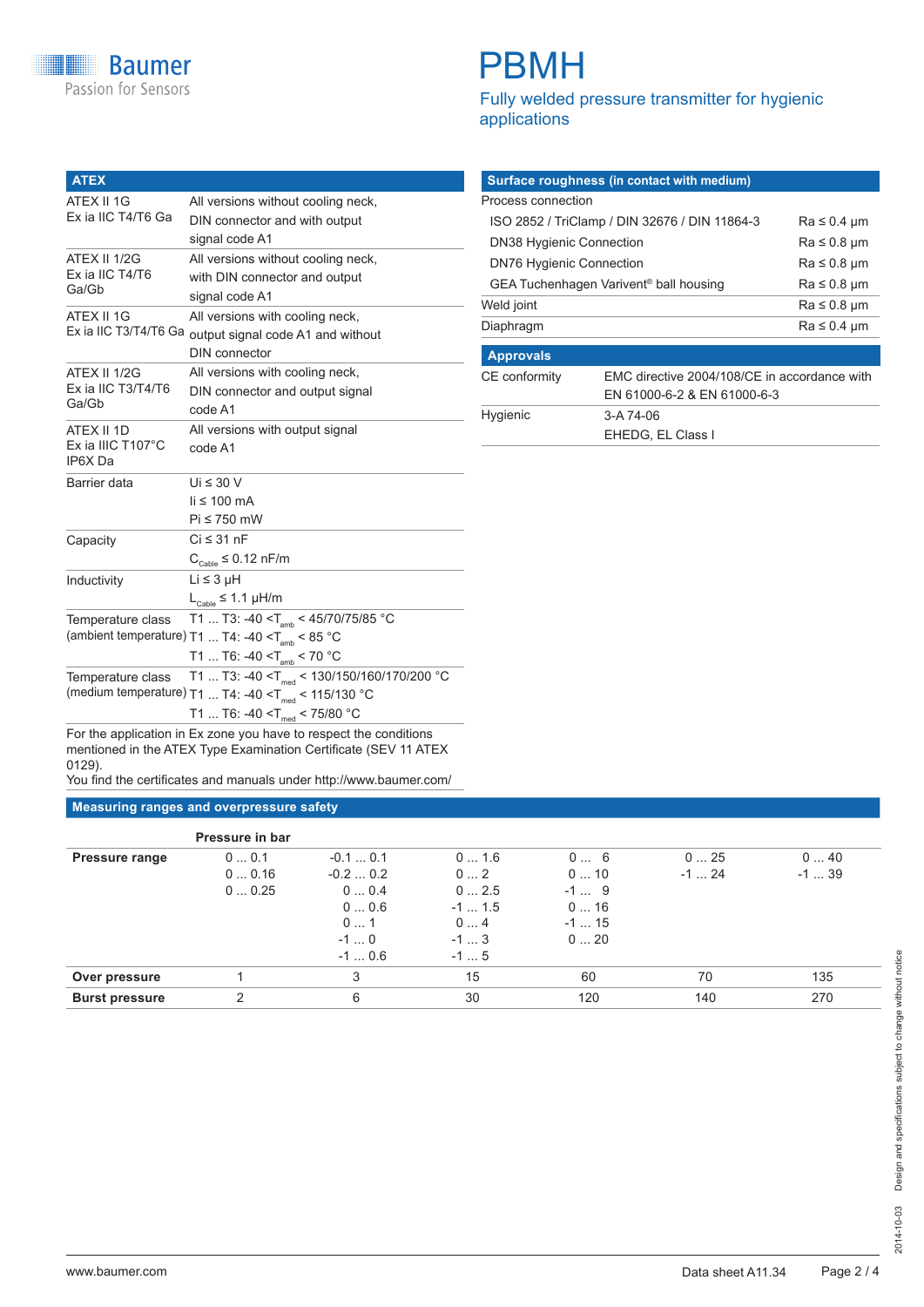# PBMH

Fully welded pressure transmitter for hygienic applications

| <b>ATEX</b>                      |                                                                     |  |  |  |  |  |  |  |  |
|----------------------------------|---------------------------------------------------------------------|--|--|--|--|--|--|--|--|
| ATEX II 1G<br>Ex ia IIC T4/T6 Ga | All versions without cooling neck,<br>DIN connector and with output |  |  |  |  |  |  |  |  |
|                                  | signal code A1                                                      |  |  |  |  |  |  |  |  |
| ATEX II 1/2G                     | All versions without cooling neck,                                  |  |  |  |  |  |  |  |  |
| Ex ia IIC T4/T6                  | with DIN connector and output                                       |  |  |  |  |  |  |  |  |
| Ga/Gb                            | signal code A1                                                      |  |  |  |  |  |  |  |  |
| ATEX II 1G                       | All versions with cooling neck,                                     |  |  |  |  |  |  |  |  |
| Ex ia IIC T3/T4/T6 Ga            | output signal code A1 and without                                   |  |  |  |  |  |  |  |  |
|                                  | DIN connector                                                       |  |  |  |  |  |  |  |  |
| ATEX II 1/2G                     | All versions with cooling neck,                                     |  |  |  |  |  |  |  |  |
| Ex ia IIC T3/T4/T6<br>Ga/Gb      | DIN connector and output signal                                     |  |  |  |  |  |  |  |  |
|                                  | code A1                                                             |  |  |  |  |  |  |  |  |
| ATEX II 1D                       | All versions with output signal                                     |  |  |  |  |  |  |  |  |
| Ex ia IIIC T107°C<br>IP6X Da     | code A1                                                             |  |  |  |  |  |  |  |  |
| Barrier data                     | Ui $\leq 30$ V                                                      |  |  |  |  |  |  |  |  |
|                                  | $\text{li} \leq 100 \text{ mA}$                                     |  |  |  |  |  |  |  |  |
|                                  | Pi ≤ 750 mW                                                         |  |  |  |  |  |  |  |  |
| Capacity                         | $Ci \leq 31$ nF                                                     |  |  |  |  |  |  |  |  |
|                                  | $\rm C_{\rm cable}$ ≤ 0.12 nF/m                                     |  |  |  |  |  |  |  |  |
| Inductivity                      | Li ≤ 3 µH                                                           |  |  |  |  |  |  |  |  |
|                                  | $L_{\text{Cable}} \leq 1.1 \mu H/m$                                 |  |  |  |  |  |  |  |  |
| Temperature class                | T1  T3: -40 < $T_{\text{amb}}$ < 45/70/75/85 °C                     |  |  |  |  |  |  |  |  |
|                                  | (ambient temperature) T1  T4: -40 < $T_{amb}$ < 85 °C               |  |  |  |  |  |  |  |  |
|                                  | T1  T6: -40 $< T_{\text{amb}}$ < 70 °C                              |  |  |  |  |  |  |  |  |
| Temperature class                | T1  T3: -40 < $T_{\text{med}}$ < 130/150/160/170/200 °C             |  |  |  |  |  |  |  |  |
|                                  | (medium temperature) T1  T4: -40 < T <sub>med</sub> < 115/130 °C    |  |  |  |  |  |  |  |  |
|                                  | T1  T6: -40 < $T_{med}$ < 75/80 °C                                  |  |  |  |  |  |  |  |  |

|                                                    | Surface roughness (in contact with medium)   |  |
|----------------------------------------------------|----------------------------------------------|--|
| Process connection                                 |                                              |  |
| ISO 2852 / TriClamp / DIN 32676 / DIN 11864-3      | $Ra \leq 0.4 \mu m$                          |  |
| <b>DN38 Hygienic Connection</b>                    | $Ra \leq 0.8 \mu m$                          |  |
| <b>DN76 Hygienic Connection</b>                    | $Ra \leq 0.8 \mu m$                          |  |
| GEA Tuchenhagen Varivent <sup>®</sup> ball housing | $Ra \leq 0.8 \mu m$                          |  |
| Weld joint                                         | $Ra \leq 0.8 \mu m$                          |  |
| Diaphragm                                          | $Ra \leq 0.4 \mu m$                          |  |
| <b>Approvals</b>                                   |                                              |  |
| CE conformity                                      | EMC directive 2004/108/CE in accordance with |  |
|                                                    | EN 61000-6-2 & EN 61000-6-3                  |  |
| Hygienic                                           | 3-A 74-06                                    |  |
|                                                    |                                              |  |

For the application in Ex zone you have to respect the conditions mentioned in the ATEX Type Examination Certificate (SEV 11 ATEX 0129).

You find the certificates and manuals under http://www.baumer.com/

### **Measuring ranges and overpressure safety**

|                       | Pressure in bar        |                                                                            |                                                          |                                             |                |                |
|-----------------------|------------------------|----------------------------------------------------------------------------|----------------------------------------------------------|---------------------------------------------|----------------|----------------|
| <b>Pressure range</b> | 00.1<br>00.16<br>00.25 | $-0.10.1$<br>$-0.20.2$<br>00.4<br>$0 \dots 0.6$<br>01<br>$-1$ 0<br>$-10.6$ | 01.6<br>02<br>02.5<br>$-1$ 1.5<br>04<br>$-1$ 3<br>$-1$ 5 | 06<br>010<br>$-19$<br>016<br>$-1$ 15<br>020 | 025<br>$-1$ 24 | 040<br>$-1$ 39 |
| Over pressure         |                        | 3                                                                          | 15                                                       | 60                                          | 70             | 135            |
| <b>Burst pressure</b> | 2                      | 6                                                                          | 30                                                       | 120                                         | 140            | 270            |
|                       |                        |                                                                            |                                                          |                                             |                |                |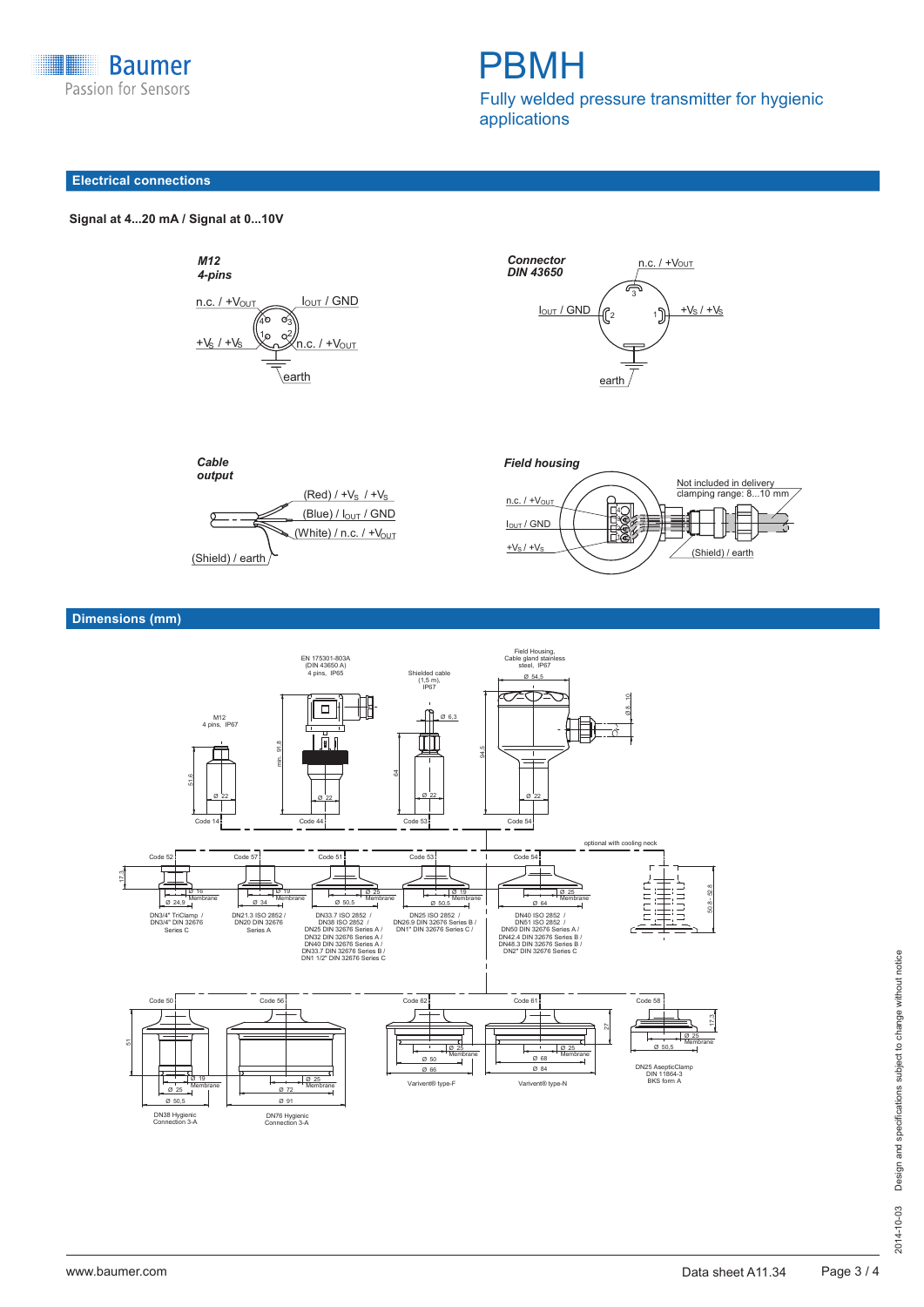

# PBMH

Fully welded pressure transmitter for hygienic applications

#### **Electrical connections**

 **Signal at 4...20 mA / Signal at 0...10V Signal at 4...20 mA / Signal at 0...10 V**









### **Dimensions (mm)**